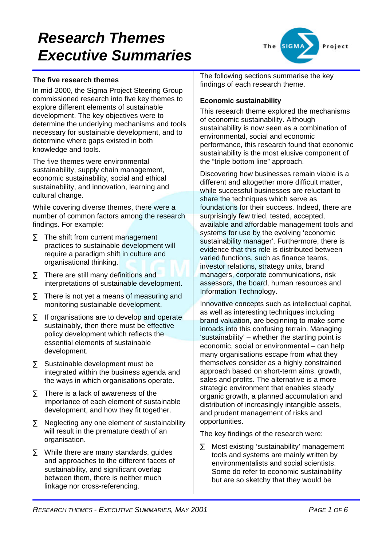

#### **The five research themes**

In mid-2000, the Sigma Project Steering Group commissioned research into five key themes to explore different elements of sustainable development. The key objectives were to determine the underlying mechanisms and tools necessary for sustainable development, and to determine where gaps existed in both knowledge and tools.

The five themes were environmental sustainability, supply chain management, economic sustainability, social and ethical sustainability, and innovation, learning and cultural change.

While covering diverse themes, there were a number of common factors among the research findings. For example:

- $\Sigma$  The shift from current management practices to sustainable development will require a paradigm shift in culture and organisational thinking.
- $\Sigma$  There are still many definitions and interpretations of sustainable development.
- $\Sigma$  There is not vet a means of measuring and monitoring sustainable development.
- $\Sigma$  If organisations are to develop and operate sustainably, then there must be effective policy development which reflects the essential elements of sustainable development.
- ∑ Sustainable development must be integrated within the business agenda and the ways in which organisations operate.
- $\Sigma$  There is a lack of awareness of the importance of each element of sustainable development, and how they fit together.
- $\Sigma$  Neglecting any one element of sustainability will result in the premature death of an organisation.
- $\Sigma$  While there are many standards, guides and approaches to the different facets of sustainability, and significant overlap between them, there is neither much linkage nor cross-referencing.

The following sections summarise the key findings of each research theme.

#### **Economic sustainability**

This research theme explored the mechanisms of economic sustainability. Although sustainability is now seen as a combination of environmental, social and economic performance, this research found that economic sustainability is the most elusive component of the "triple bottom line" approach.

Discovering how businesses remain viable is a different and altogether more difficult matter, while successful businesses are reluctant to share the techniques which serve as foundations for their success. Indeed, there are surprisingly few tried, tested, accepted, available and affordable management tools and systems for use by the evolving 'economic sustainability manager'. Furthermore, there is evidence that this role is distributed between varied functions, such as finance teams, investor relations, strategy units, brand managers, corporate communications, risk assessors, the board, human resources and Information Technology.

Innovative concepts such as intellectual capital, as well as interesting techniques including brand valuation, are beginning to make some inroads into this confusing terrain. Managing 'sustainability' – whether the starting point is economic, social or environmental – can help many organisations escape from what they themselves consider as a highly constrained approach based on short-term aims, growth, sales and profits. The alternative is a more strategic environment that enables steady organic growth, a planned accumulation and distribution of increasingly intangible assets, and prudent management of risks and opportunities.

The key findings of the research were:

∑ Most existing 'sustainability' management tools and systems are mainly written by environmentalists and social scientists. Some do refer to economic sustainability but are so sketchy that they would be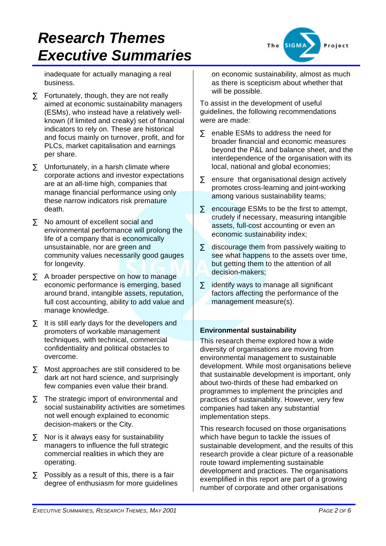roject

inadequate for actually managing a real business.

- $\Sigma$  Fortunately, though, they are not really aimed at economic sustainability managers (ESMs), who instead have a relatively wellknown (if limited and creaky) set of financial indicators to rely on. These are historical and focus mainly on turnover, profit, and for PLCs, market capitalisation and earnings per share.
- $\Sigma$  Unfortunately, in a harsh climate where corporate actions and investor expectations are at an all-time high, companies that manage financial performance using only these narrow indicators risk premature death.
- ∑ No amount of excellent social and environmental performance will prolong the life of a company that is economically unsustainable, nor are green and community values necessarily good gauges for longevity.
- $\Sigma$  A broader perspective on how to manage economic performance is emerging, based around brand, intangible assets, reputation, full cost accounting, ability to add value and manage knowledge.
- $\Sigma$  It is still early days for the developers and promoters of workable management techniques, with technical, commercial confidentiality and political obstacles to overcome.
- ∑ Most approaches are still considered to be dark art not hard science, and surprisingly few companies even value their brand.
- $\Sigma$  The strategic import of environmental and social sustainability activities are sometimes not well enough explained to economic decision-makers or the City.
- $\Sigma$  Nor is it always easy for sustainability managers to influence the full strategic commercial realities in which they are operating.
- $\Sigma$  Possibly as a result of this, there is a fair degree of enthusiasm for more guidelines

on economic sustainability, almost as much as there is scepticism about whether that will be possible.

To assist in the development of useful guidelines, the following recommendations were are made:

- ∑ enable ESMs to address the need for broader financial and economic measures beyond the P&L and balance sheet, and the interdependence of the organisation with its local, national and global economies;
- $\Sigma$  ensure that organisational design actively promotes cross-learning and joint-working among various sustainability teams;
- $\Sigma$  encourage ESMs to be the first to attempt, crudely if necessary, measuring intangible assets, full-cost accounting or even an economic sustainability index;
- ∑ discourage them from passively waiting to see what happens to the assets over time, but getting them to the attention of all decision-makers;
- $\Sigma$  identify ways to manage all significant factors affecting the performance of the management measure(s).

### **Environmental sustainability**

This research theme explored how a wide diversity of organisations are moving from environmental management to sustainable development. While most organisations believe that sustainable development is important, only about two-thirds of these had embarked on programmes to implement the principles and practices of sustainability. However, very few companies had taken any substantial implementation steps.

This research focused on those organisations which have begun to tackle the issues of sustainable development, and the results of this research provide a clear picture of a reasonable route toward implementing sustainable development and practices. The organisations exemplified in this report are part of a growing number of corporate and other organisations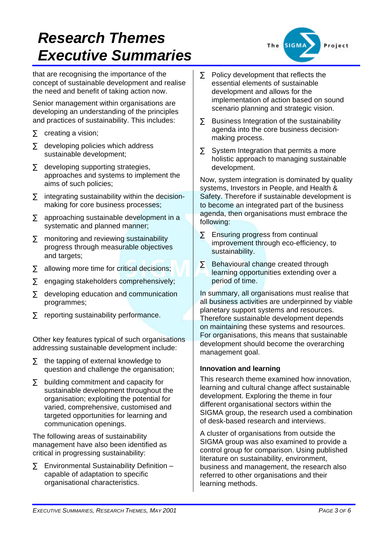that are recognising the importance of the concept of sustainable development and realise the need and benefit of taking action now.

Senior management within organisations are developing an understanding of the principles and practices of sustainability. This includes:

- $\Sigma$  creating a vision;
- ∑ developing policies which address sustainable development;
- $\Sigma$  developing supporting strategies, approaches and systems to implement the aims of such policies;
- $\Sigma$  integrating sustainability within the decisionmaking for core business processes;
- $\Sigma$  approaching sustainable development in a systematic and planned manner;
- ∑ monitoring and reviewing sustainability progress through measurable objectives and targets;
- $\Sigma$  allowing more time for critical decisions;
- ∑ engaging stakeholders comprehensively:
- $\Sigma$  developing education and communication programmes;
- $\Sigma$  reporting sustainability performance.

Other key features typical of such organisations addressing sustainable development include:

- $\Sigma$  the tapping of external knowledge to question and challenge the organisation;
- $\Sigma$  building commitment and capacity for sustainable development throughout the organisation; exploiting the potential for varied, comprehensive, customised and targeted opportunities for learning and communication openings.

The following areas of sustainability management have also been identified as critical in progressing sustainability:

 $\Sigma$  Environmental Sustainability Definition – capable of adaptation to specific organisational characteristics.



- $\Sigma$  Policy development that reflects the essential elements of sustainable development and allows for the implementation of action based on sound scenario planning and strategic vision.
- $\Sigma$  Business Integration of the sustainability agenda into the core business decisionmaking process.
- $\Sigma$  System Integration that permits a more holistic approach to managing sustainable development.

Now, system integration is dominated by quality systems, Investors in People, and Health & Safety. Therefore if sustainable development is to become an integrated part of the business agenda, then organisations must embrace the following:

- $\Sigma$  Ensuring progress from continual improvement through eco-efficiency, to sustainability.
- ∑ Behavioural change created through learning opportunities extending over a period of time.

In summary, all organisations must realise that all business activities are underpinned by viable planetary support systems and resources. Therefore sustainable development depends on maintaining these systems and resources. For organisations, this means that sustainable development should become the overarching management goal.

### **Innovation and learning**

This research theme examined how innovation, learning and cultural change affect sustainable development. Exploring the theme in four different organisational sectors within the SIGMA group, the research used a combination of desk-based research and interviews.

A cluster of organisations from outside the SIGMA group was also examined to provide a control group for comparison. Using published literature on sustainability, environment, business and management, the research also referred to other organisations and their learning methods.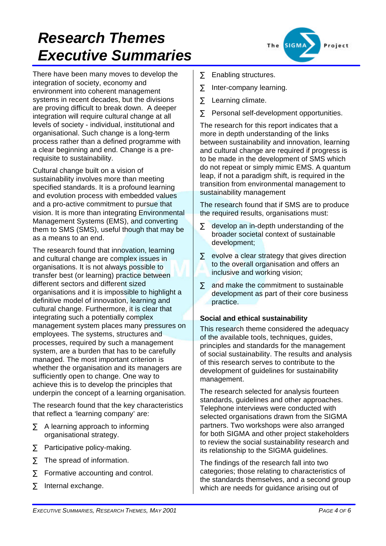There have been many moves to develop the integration of society, economy and environment into coherent management systems in recent decades, but the divisions are proving difficult to break down. A deeper integration will require cultural change at all levels of society - individual, institutional and organisational. Such change is a long-term process rather than a defined programme with a clear beginning and end. Change is a prerequisite to sustainability.

Cultural change built on a vision of sustainability involves more than meeting specified standards. It is a profound learning and evolution process with embedded values and a pro-active commitment to pursue that vision. It is more than integrating Environmental Management Systems (EMS), and converting them to SMS (SMS), useful though that may be as a means to an end.

The research found that innovation, learning and cultural change are complex issues in organisations. It is not always possible to transfer best (or learning) practice between different sectors and different sized organisations and it is impossible to highlight a definitive model of innovation, learning and cultural change. Furthermore, it is clear that integrating such a potentially complex management system places many pressures on employees. The systems, structures and processes, required by such a management system, are a burden that has to be carefully managed. The most important criterion is whether the organisation and its managers are sufficiently open to change. One way to achieve this is to develop the principles that underpin the concept of a learning organisation.

The research found that the key characteristics that reflect a 'learning company' are:

- $\Sigma$  A learning approach to informing organisational strategy.
- $\Sigma$  Participative policy-making.
- $\Sigma$  The spread of information.
- $\Sigma$  Formative accounting and control.
- $\Sigma$  Internal exchange.



- $\Sigma$  Enabling structures.
- $\Sigma$  Inter-company learning.
- ∑ Learning climate.
- $\Sigma$  Personal self-development opportunities.

The research for this report indicates that a more in depth understanding of the links between sustainability and innovation, learning and cultural change are required if progress is to be made in the development of SMS which do not repeat or simply mimic EMS. A quantum leap, if not a paradigm shift, is required in the transition from environmental management to sustainability management

The research found that if SMS are to produce the required results, organisations must:

- $\Sigma$  develop an in-depth understanding of the broader societal context of sustainable development;
- $\Sigma$  evolve a clear strategy that gives direction to the overall organisation and offers an inclusive and working vision;
- $\Sigma$  and make the commitment to sustainable development as part of their core business practice.

#### **Social and ethical sustainability**

This research theme considered the adequacy of the available tools, techniques, guides, principles and standards for the management of social sustainability. The results and analysis of this research serves to contribute to the development of guidelines for sustainability management.

The research selected for analysis fourteen standards, guidelines and other approaches. Telephone interviews were conducted with selected organisations drawn from the SIGMA partners. Two workshops were also arranged for both SIGMA and other project stakeholders to review the social sustainability research and its relationship to the SIGMA guidelines.

The findings of the research fall into two categories; those relating to characteristics of the standards themselves, and a second group which are needs for guidance arising out of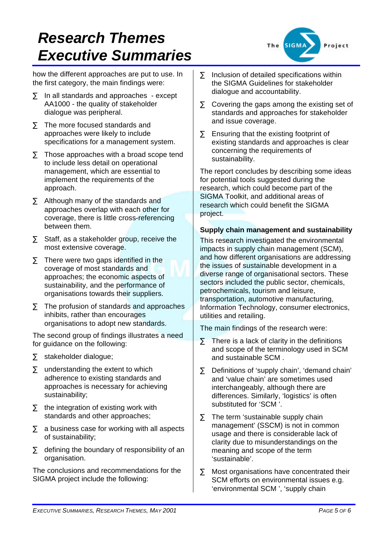how the different approaches are put to use. In the first category, the main findings were:

- $\Sigma$  In all standards and approaches except AA1000 - the quality of stakeholder dialogue was peripheral.
- $\Sigma$  The more focused standards and approaches were likely to include specifications for a management system.
- $\Sigma$  Those approaches with a broad scope tend to include less detail on operational management, which are essential to implement the requirements of the approach.
- $\Sigma$  Although many of the standards and approaches overlap with each other for coverage, there is little cross-referencing between them.
- $\Sigma$  Staff, as a stakeholder group, receive the most extensive coverage.
- $\Sigma$  There were two gaps identified in the coverage of most standards and approaches; the economic aspects of sustainability, and the performance of organisations towards their suppliers.
- $\Sigma$  The profusion of standards and approaches inhibits, rather than encourages organisations to adopt new standards.

The second group of findings illustrates a need for guidance on the following:

- ∑ stakeholder dialogue;
- $\Sigma$  understanding the extent to which adherence to existing standards and approaches is necessary for achieving sustainability;
- $\Sigma$  the integration of existing work with standards and other approaches;
- $\Sigma$  a business case for working with all aspects of sustainability;
- $\Sigma$  defining the boundary of responsibility of an organisation.

The conclusions and recommendations for the SIGMA project include the following:



- $\Sigma$  Inclusion of detailed specifications within the SIGMA Guidelines for stakeholder dialogue and accountability.
- $\Sigma$  Covering the gaps among the existing set of standards and approaches for stakeholder and issue coverage.
- $\Sigma$  Ensuring that the existing footprint of existing standards and approaches is clear concerning the requirements of sustainability.

The report concludes by describing some ideas for potential tools suggested during the research, which could become part of the SIGMA Toolkit, and additional areas of research which could benefit the SIGMA project.

### **Supply chain management and sustainability**

This research investigated the environmental impacts in supply chain management (SCM), and how different organisations are addressing the issues of sustainable development in a diverse range of organisational sectors. These sectors included the public sector, chemicals, petrochemicals, tourism and leisure, transportation, automotive manufacturing, Information Technology, consumer electronics, utilities and retailing.

The main findings of the research were:

- $\Sigma$  There is a lack of clarity in the definitions and scope of the terminology used in SCM and sustainable SCM .
- ∑ Definitions of 'supply chain', 'demand chain' and 'value chain' are sometimes used interchangeably, although there are differences. Similarly, 'logistics' is often substituted for 'SCM '.
- $\Sigma$  The term 'sustainable supply chain management' (SSCM) is not in common usage and there is considerable lack of clarity due to misunderstandings on the meaning and scope of the term 'sustainable'.
- ∑ Most organisations have concentrated their SCM efforts on environmental issues e.g. 'environmental SCM ', 'supply chain